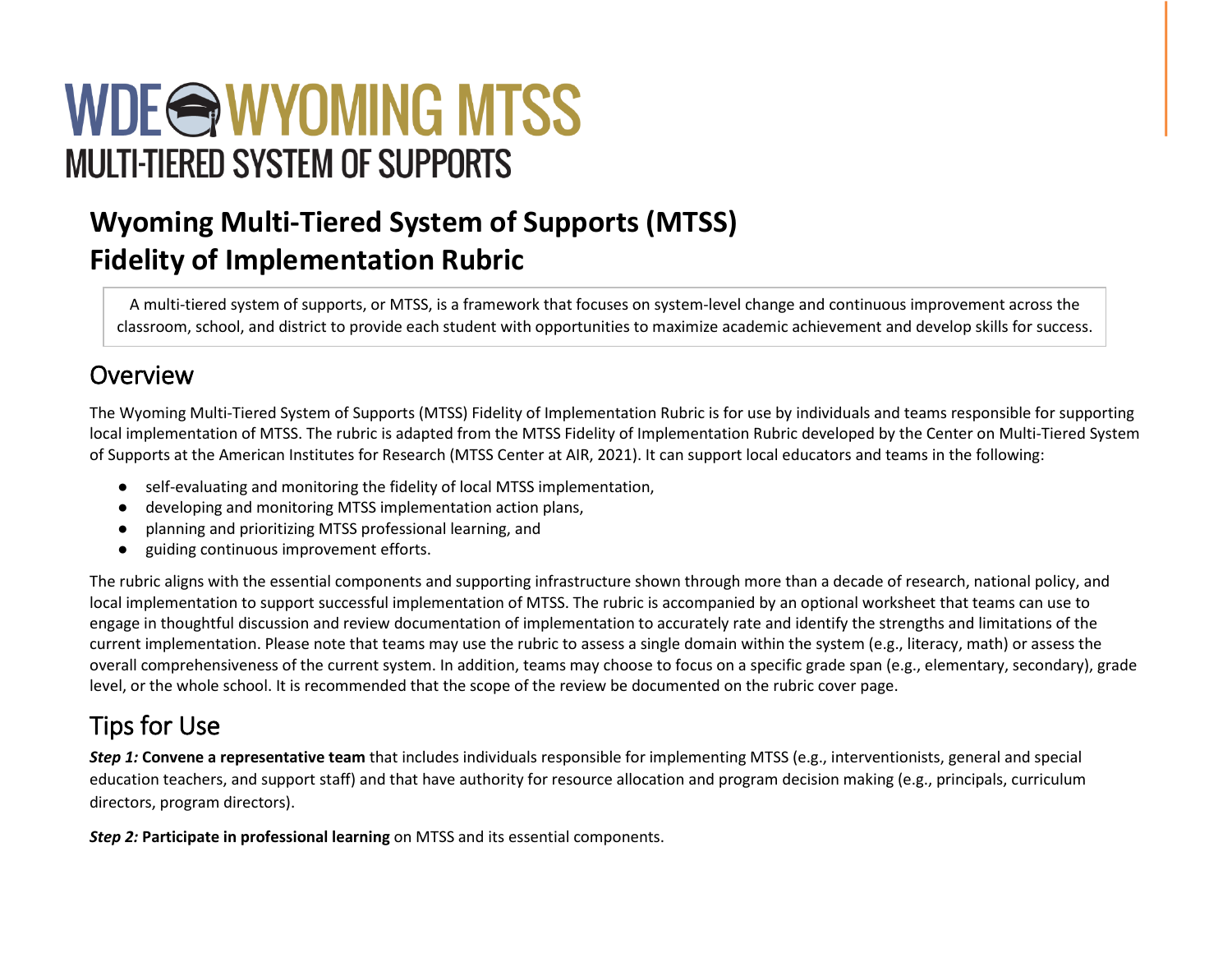# WDE@WYOMING MTSS **MULTI-TIERED SYSTEM OF SUPPORTS**

# **Wyoming Multi-Tiered System of Supports (MTSS) Fidelity of Implementation Rubric**

A multi-tiered system of supports, or MTSS, is a framework that focuses on system-level change and continuous improvement across the classroom, school, and district to provide each student with opportunities to maximize academic achievement and develop skills for success.

#### Overview

The Wyoming Multi-Tiered System of Supports (MTSS) Fidelity of Implementation Rubric is for use by individuals and teams responsible for supporting local implementation of MTSS. The rubric is adapted from the MTSS Fidelity of Implementation Rubric developed by the Center on Multi-Tiered System of Supports at the American Institutes for Research (MTSS Center at AIR, 2021). It can support local educators and teams in the following:

- self-evaluating and monitoring the fidelity of local MTSS implementation,
- developing and monitoring MTSS implementation action plans,
- planning and prioritizing MTSS professional learning, and
- guiding continuous improvement efforts.

The rubric aligns with the essential components and supporting infrastructure shown through more than a decade of research, national policy, and local implementation to support successful implementation of MTSS. The rubric is accompanied by an optional worksheet that teams can use to engage in thoughtful discussion and review documentation of implementation to accurately rate and identify the strengths and limitations of the current implementation. Please note that teams may use the rubric to assess a single domain within the system (e.g., literacy, math) or assess the overall comprehensiveness of the current system. In addition, teams may choose to focus on a specific grade span (e.g., elementary, secondary), grade level, or the whole school. It is recommended that the scope of the review be documented on the rubric cover page.

## Tips for Use

*Step 1:* **Convene a representative team** that includes individuals responsible for implementing MTSS (e.g., interventionists, general and special education teachers, and support staff) and that have authority for resource allocation and program decision making (e.g., principals, curriculum directors, program directors).

*Step 2:* **Participate in professional learning** on MTSS and its essential components.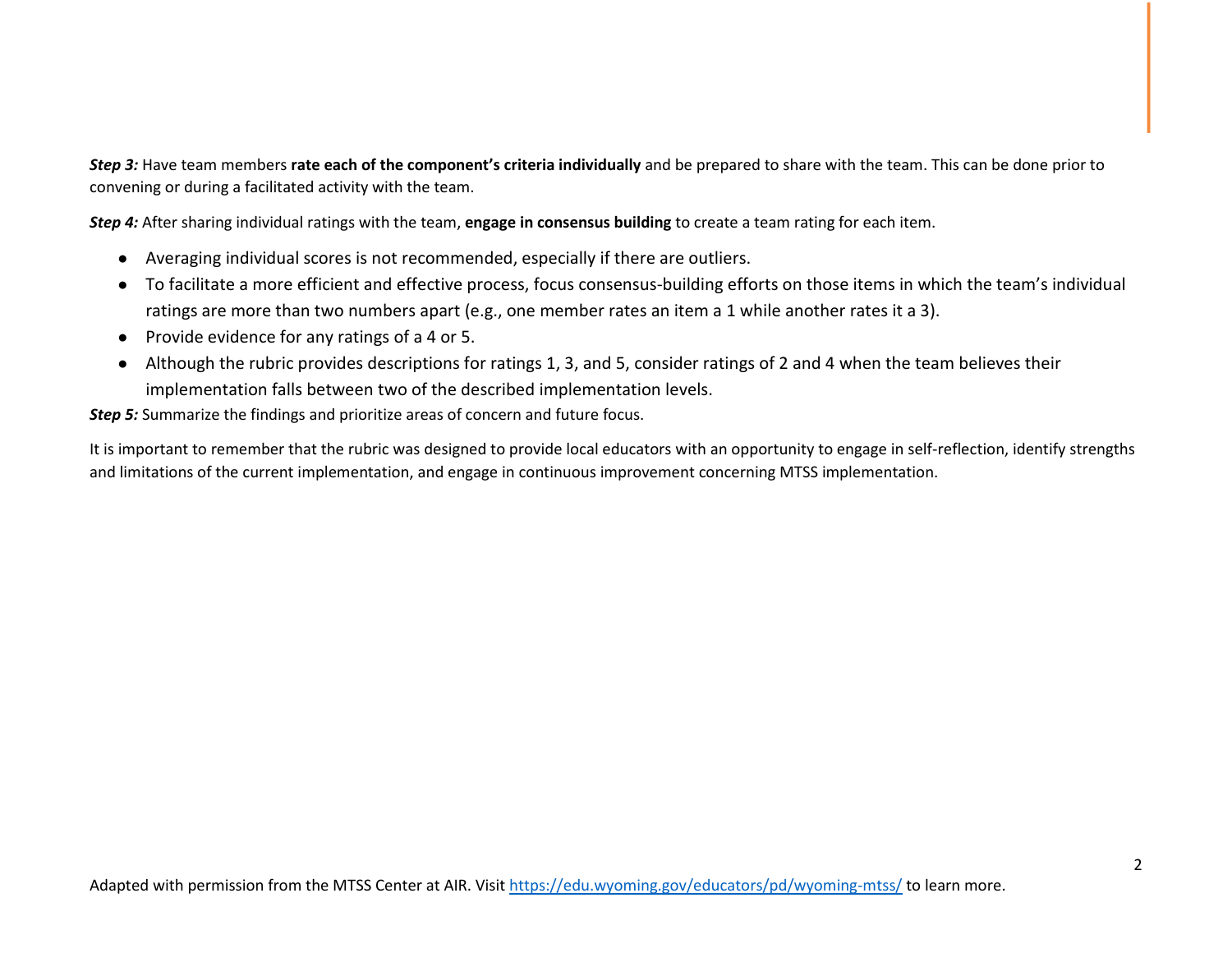*Step 3:* Have team members **rate each of the component's criteria individually** and be prepared to share with the team. This can be done prior to convening or during a facilitated activity with the team.

*Step 4:* After sharing individual ratings with the team, **engage in consensus building** to create a team rating for each item.

- Averaging individual scores is not recommended, especially if there are outliers.
- To facilitate a more efficient and effective process, focus consensus-building efforts on those items in which the team's individual ratings are more than two numbers apart (e.g., one member rates an item a 1 while another rates it a 3).
- Provide evidence for any ratings of a 4 or 5.
- Although the rubric provides descriptions for ratings 1, 3, and 5, consider ratings of 2 and 4 when the team believes their implementation falls between two of the described implementation levels.

**Step 5:** Summarize the findings and prioritize areas of concern and future focus.

It is important to remember that the rubric was designed to provide local educators with an opportunity to engage in self-reflection, identify strengths and limitations of the current implementation, and engage in continuous improvement concerning MTSS implementation.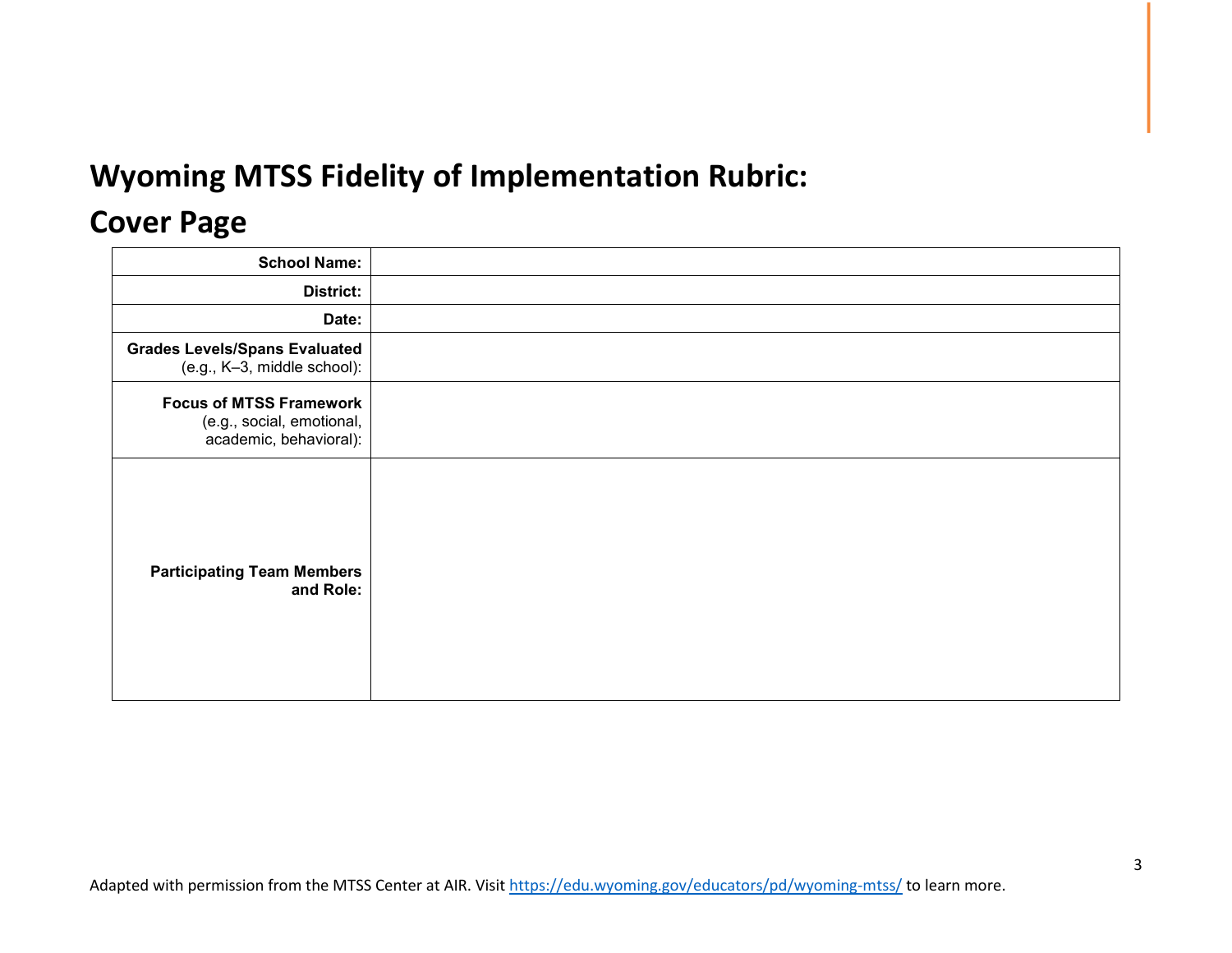# **Wyoming MTSS Fidelity of Implementation Rubric:**

## **Cover Page**

| <b>School Name:</b>                                                                   |  |
|---------------------------------------------------------------------------------------|--|
| District:                                                                             |  |
| Date:                                                                                 |  |
| <b>Grades Levels/Spans Evaluated</b><br>(e.g., K-3, middle school):                   |  |
| <b>Focus of MTSS Framework</b><br>(e.g., social, emotional,<br>academic, behavioral): |  |
| <b>Participating Team Members</b><br>and Role:                                        |  |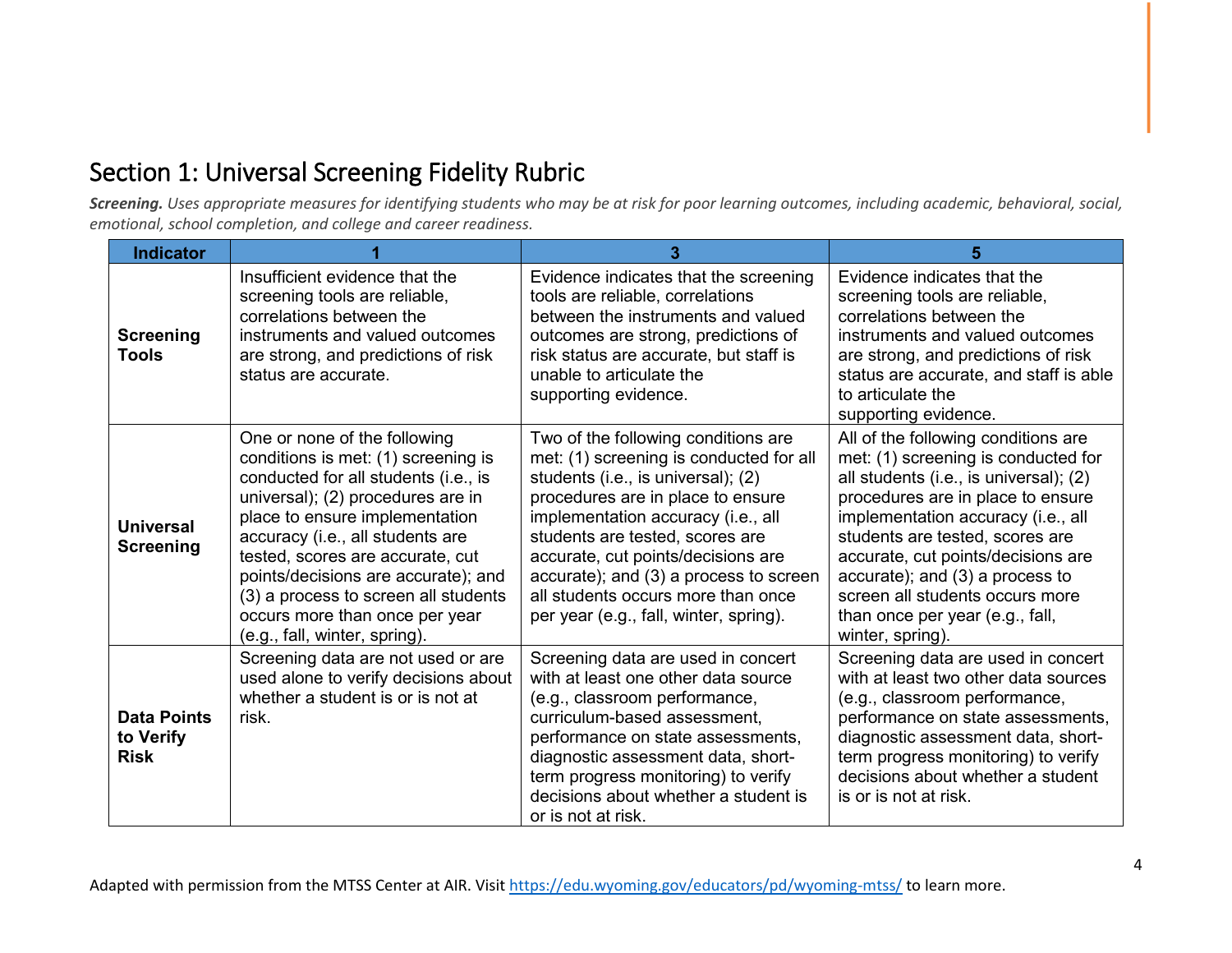## Section 1: Universal Screening Fidelity Rubric

*Screening. Uses appropriate measures for identifying students who may be at risk for poor learning outcomes, including academic, behavioral, social, emotional, school completion, and college and career readiness.*

| <b>Indicator</b>                               |                                                                                                                                                                                                                                                                                                                                                                                                              |                                                                                                                                                                                                                                                                                                                                                                                                    | 5                                                                                                                                                                                                                                                                                                                                                                                                     |
|------------------------------------------------|--------------------------------------------------------------------------------------------------------------------------------------------------------------------------------------------------------------------------------------------------------------------------------------------------------------------------------------------------------------------------------------------------------------|----------------------------------------------------------------------------------------------------------------------------------------------------------------------------------------------------------------------------------------------------------------------------------------------------------------------------------------------------------------------------------------------------|-------------------------------------------------------------------------------------------------------------------------------------------------------------------------------------------------------------------------------------------------------------------------------------------------------------------------------------------------------------------------------------------------------|
| <b>Screening</b><br>Tools                      | Insufficient evidence that the<br>screening tools are reliable,<br>correlations between the<br>instruments and valued outcomes<br>are strong, and predictions of risk<br>status are accurate.                                                                                                                                                                                                                | Evidence indicates that the screening<br>tools are reliable, correlations<br>between the instruments and valued<br>outcomes are strong, predictions of<br>risk status are accurate, but staff is<br>unable to articulate the<br>supporting evidence.                                                                                                                                               | Evidence indicates that the<br>screening tools are reliable,<br>correlations between the<br>instruments and valued outcomes<br>are strong, and predictions of risk<br>status are accurate, and staff is able<br>to articulate the<br>supporting evidence.                                                                                                                                             |
| <b>Universal</b><br><b>Screening</b>           | One or none of the following<br>conditions is met: (1) screening is<br>conducted for all students (i.e., is<br>universal); (2) procedures are in<br>place to ensure implementation<br>accuracy (i.e., all students are<br>tested, scores are accurate, cut<br>points/decisions are accurate); and<br>(3) a process to screen all students<br>occurs more than once per year<br>(e.g., fall, winter, spring). | Two of the following conditions are<br>met: (1) screening is conducted for all<br>students (i.e., is universal); (2)<br>procedures are in place to ensure<br>implementation accuracy (i.e., all<br>students are tested, scores are<br>accurate, cut points/decisions are<br>accurate); and (3) a process to screen<br>all students occurs more than once<br>per year (e.g., fall, winter, spring). | All of the following conditions are<br>met: (1) screening is conducted for<br>all students (i.e., is universal); (2)<br>procedures are in place to ensure<br>implementation accuracy (i.e., all<br>students are tested, scores are<br>accurate, cut points/decisions are<br>accurate); and (3) a process to<br>screen all students occurs more<br>than once per year (e.g., fall,<br>winter, spring). |
| <b>Data Points</b><br>to Verify<br><b>Risk</b> | Screening data are not used or are<br>used alone to verify decisions about<br>whether a student is or is not at<br>risk.                                                                                                                                                                                                                                                                                     | Screening data are used in concert<br>with at least one other data source<br>(e.g., classroom performance,<br>curriculum-based assessment,<br>performance on state assessments,<br>diagnostic assessment data, short-<br>term progress monitoring) to verify<br>decisions about whether a student is<br>or is not at risk.                                                                         | Screening data are used in concert<br>with at least two other data sources<br>(e.g., classroom performance,<br>performance on state assessments,<br>diagnostic assessment data, short-<br>term progress monitoring) to verify<br>decisions about whether a student<br>is or is not at risk.                                                                                                           |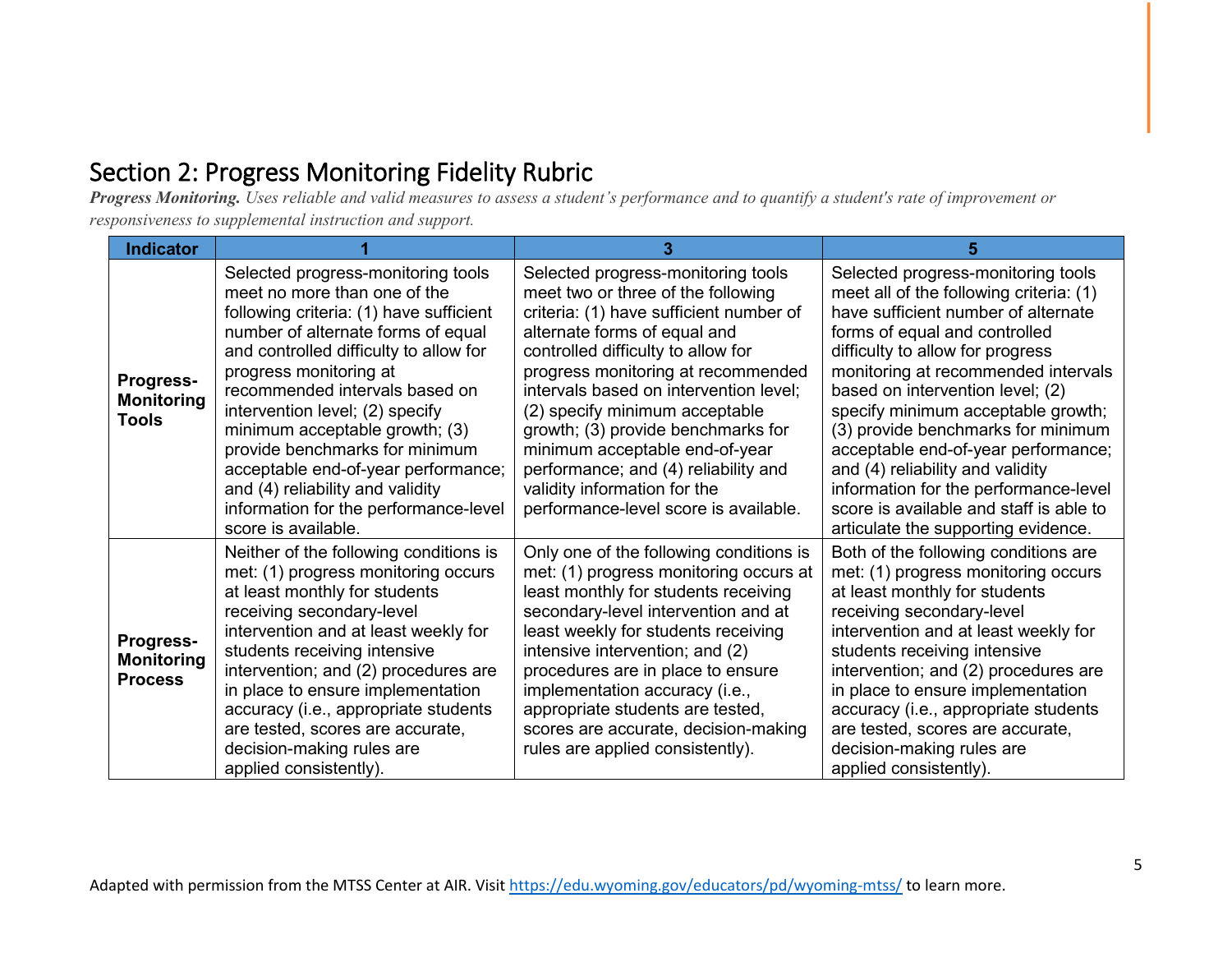### Section 2: Progress Monitoring Fidelity Rubric

*Progress Monitoring. Uses reliable and valid measures to assess a student's performance and to quantify a student's rate of improvement or responsiveness to supplemental instruction and support.* 

| <b>Indicator</b>                                 |                                                                                                                                                                                                                                                                                                                                                                                                                                                                                                             |                                                                                                                                                                                                                                                                                                                                                                                                                                                                                                      |                                                                                                                                                                                                                                                                                                                                                                                                                                                                                                                                                        |
|--------------------------------------------------|-------------------------------------------------------------------------------------------------------------------------------------------------------------------------------------------------------------------------------------------------------------------------------------------------------------------------------------------------------------------------------------------------------------------------------------------------------------------------------------------------------------|------------------------------------------------------------------------------------------------------------------------------------------------------------------------------------------------------------------------------------------------------------------------------------------------------------------------------------------------------------------------------------------------------------------------------------------------------------------------------------------------------|--------------------------------------------------------------------------------------------------------------------------------------------------------------------------------------------------------------------------------------------------------------------------------------------------------------------------------------------------------------------------------------------------------------------------------------------------------------------------------------------------------------------------------------------------------|
| Progress-<br><b>Monitoring</b><br><b>Tools</b>   | Selected progress-monitoring tools<br>meet no more than one of the<br>following criteria: (1) have sufficient<br>number of alternate forms of equal<br>and controlled difficulty to allow for<br>progress monitoring at<br>recommended intervals based on<br>intervention level; (2) specify<br>minimum acceptable growth; (3)<br>provide benchmarks for minimum<br>acceptable end-of-year performance;<br>and (4) reliability and validity<br>information for the performance-level<br>score is available. | Selected progress-monitoring tools<br>meet two or three of the following<br>criteria: (1) have sufficient number of<br>alternate forms of equal and<br>controlled difficulty to allow for<br>progress monitoring at recommended<br>intervals based on intervention level;<br>(2) specify minimum acceptable<br>growth; (3) provide benchmarks for<br>minimum acceptable end-of-year<br>performance; and (4) reliability and<br>validity information for the<br>performance-level score is available. | Selected progress-monitoring tools<br>meet all of the following criteria: (1)<br>have sufficient number of alternate<br>forms of equal and controlled<br>difficulty to allow for progress<br>monitoring at recommended intervals<br>based on intervention level; (2)<br>specify minimum acceptable growth;<br>(3) provide benchmarks for minimum<br>acceptable end-of-year performance;<br>and (4) reliability and validity<br>information for the performance-level<br>score is available and staff is able to<br>articulate the supporting evidence. |
| Progress-<br><b>Monitoring</b><br><b>Process</b> | Neither of the following conditions is<br>met: (1) progress monitoring occurs<br>at least monthly for students<br>receiving secondary-level<br>intervention and at least weekly for<br>students receiving intensive<br>intervention; and (2) procedures are<br>in place to ensure implementation<br>accuracy (i.e., appropriate students<br>are tested, scores are accurate,<br>decision-making rules are<br>applied consistently).                                                                         | Only one of the following conditions is<br>met: (1) progress monitoring occurs at<br>least monthly for students receiving<br>secondary-level intervention and at<br>least weekly for students receiving<br>intensive intervention; and (2)<br>procedures are in place to ensure<br>implementation accuracy (i.e.,<br>appropriate students are tested,<br>scores are accurate, decision-making<br>rules are applied consistently).                                                                    | Both of the following conditions are<br>met: (1) progress monitoring occurs<br>at least monthly for students<br>receiving secondary-level<br>intervention and at least weekly for<br>students receiving intensive<br>intervention; and (2) procedures are<br>in place to ensure implementation<br>accuracy (i.e., appropriate students<br>are tested, scores are accurate,<br>decision-making rules are<br>applied consistently).                                                                                                                      |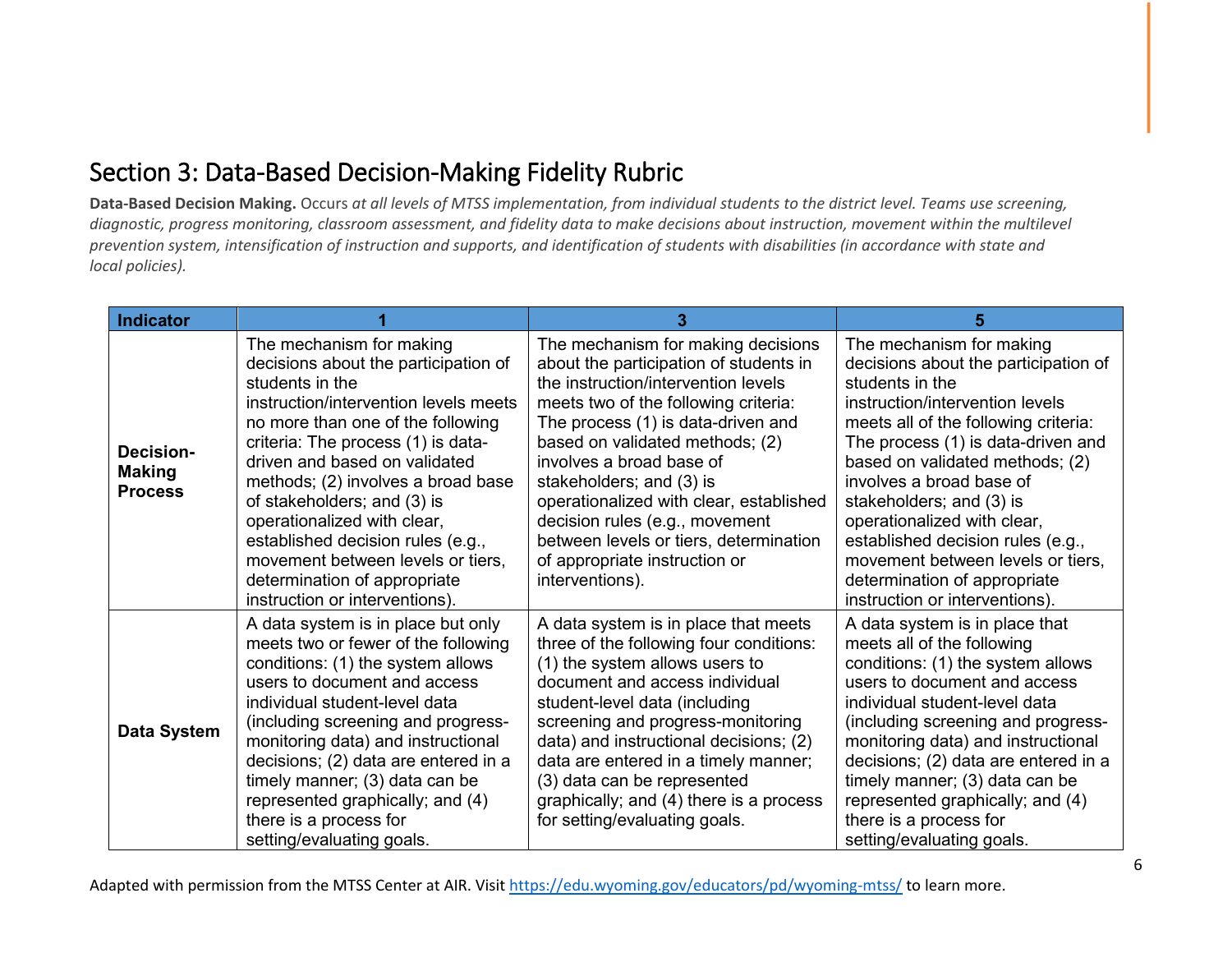#### Section 3: Data-Based Decision-Making Fidelity Rubric

**Data-Based Decision Making.** Occurs *at all levels of MTSS implementation, from individual students to the district level. Teams use screening, diagnostic, progress monitoring, classroom assessment, and fidelity data to make decisions about instruction, movement within the multilevel prevention system, intensification of instruction and supports, and identification of students with disabilities (in accordance with state and local policies).*

| <b>Indicator</b>                             |                                                                                                                                                                                                                                                                                                                                                                                                                                                                                          | 3                                                                                                                                                                                                                                                                                                                                                                                                                                                                       | 5                                                                                                                                                                                                                                                                                                                                                                                                                                                                          |
|----------------------------------------------|------------------------------------------------------------------------------------------------------------------------------------------------------------------------------------------------------------------------------------------------------------------------------------------------------------------------------------------------------------------------------------------------------------------------------------------------------------------------------------------|-------------------------------------------------------------------------------------------------------------------------------------------------------------------------------------------------------------------------------------------------------------------------------------------------------------------------------------------------------------------------------------------------------------------------------------------------------------------------|----------------------------------------------------------------------------------------------------------------------------------------------------------------------------------------------------------------------------------------------------------------------------------------------------------------------------------------------------------------------------------------------------------------------------------------------------------------------------|
| Decision-<br><b>Making</b><br><b>Process</b> | The mechanism for making<br>decisions about the participation of<br>students in the<br>instruction/intervention levels meets<br>no more than one of the following<br>criteria: The process (1) is data-<br>driven and based on validated<br>methods; (2) involves a broad base<br>of stakeholders; and (3) is<br>operationalized with clear,<br>established decision rules (e.g.,<br>movement between levels or tiers,<br>determination of appropriate<br>instruction or interventions). | The mechanism for making decisions<br>about the participation of students in<br>the instruction/intervention levels<br>meets two of the following criteria:<br>The process (1) is data-driven and<br>based on validated methods; (2)<br>involves a broad base of<br>stakeholders; and (3) is<br>operationalized with clear, established<br>decision rules (e.g., movement<br>between levels or tiers, determination<br>of appropriate instruction or<br>interventions). | The mechanism for making<br>decisions about the participation of<br>students in the<br>instruction/intervention levels<br>meets all of the following criteria:<br>The process (1) is data-driven and<br>based on validated methods; (2)<br>involves a broad base of<br>stakeholders; and (3) is<br>operationalized with clear,<br>established decision rules (e.g.,<br>movement between levels or tiers,<br>determination of appropriate<br>instruction or interventions). |
| <b>Data System</b>                           | A data system is in place but only<br>meets two or fewer of the following<br>conditions: (1) the system allows<br>users to document and access<br>individual student-level data<br>(including screening and progress-<br>monitoring data) and instructional<br>decisions; (2) data are entered in a<br>timely manner; (3) data can be<br>represented graphically; and (4)<br>there is a process for<br>setting/evaluating goals.                                                         | A data system is in place that meets<br>three of the following four conditions:<br>(1) the system allows users to<br>document and access individual<br>student-level data (including<br>screening and progress-monitoring<br>data) and instructional decisions; (2)<br>data are entered in a timely manner;<br>(3) data can be represented<br>graphically; and (4) there is a process<br>for setting/evaluating goals.                                                  | A data system is in place that<br>meets all of the following<br>conditions: (1) the system allows<br>users to document and access<br>individual student-level data<br>(including screening and progress-<br>monitoring data) and instructional<br>decisions; (2) data are entered in a<br>timely manner; (3) data can be<br>represented graphically; and (4)<br>there is a process for<br>setting/evaluating goals.                                                        |

Adapted with permission from the MTSS Center at AIR. Visit https://edu.wyoming.gov/educators/pd/wyoming-mtss/ to learn more.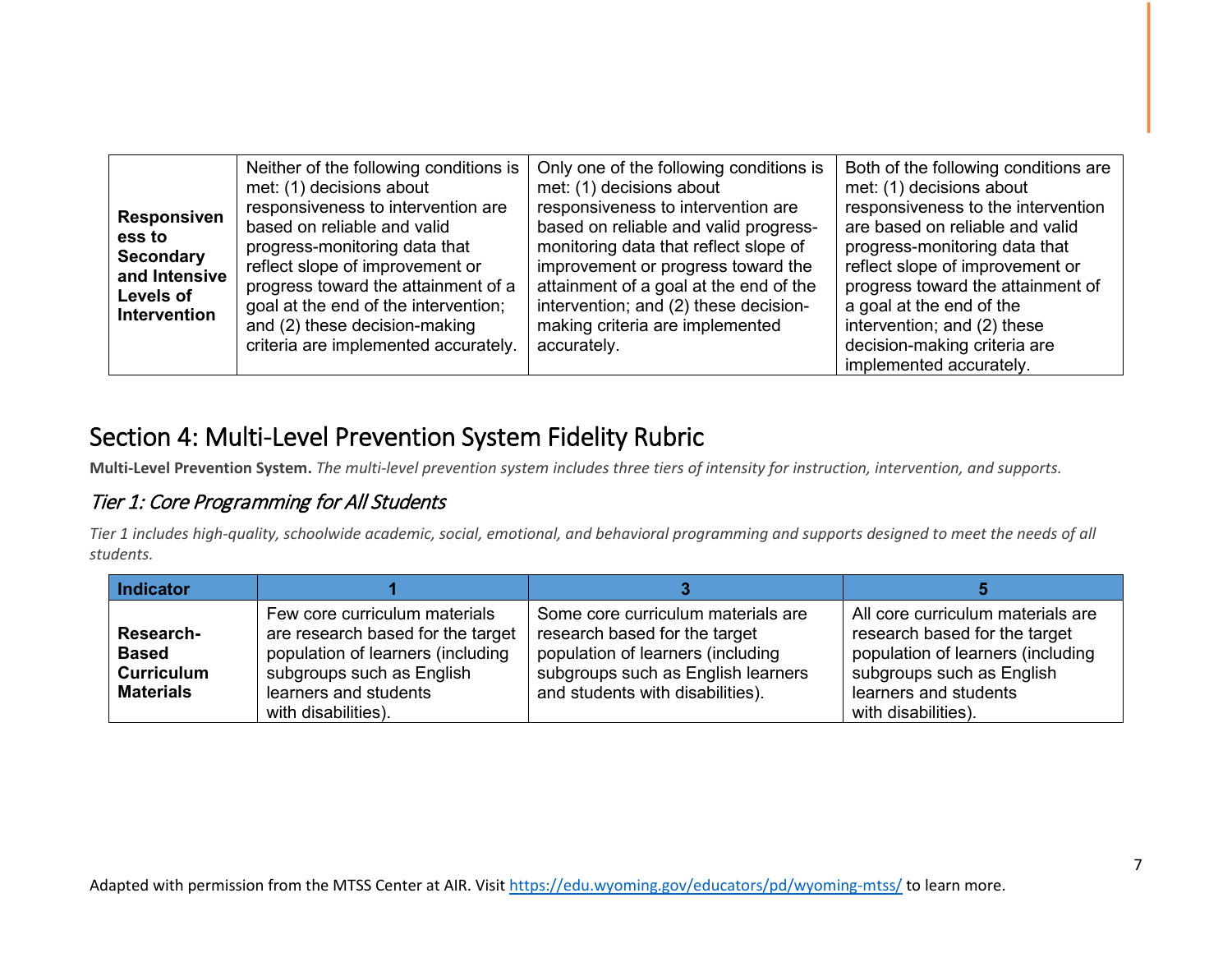#### Section 4: Multi-Level Prevention System Fidelity Rubric

**Multi-Level Prevention System.** *The multi-level prevention system includes three tiers of intensity for instruction, intervention, and supports.* 

#### Tier 1: Core Programming for All Students

*Tier 1 includes high-quality, schoolwide academic, social, emotional, and behavioral programming and supports designed to meet the needs of all students.*

| <b>Indicator</b>                                                   |                                                                                                                                                                                      |                                                                                                                                                                                    |                                                                                                                                                                                      |
|--------------------------------------------------------------------|--------------------------------------------------------------------------------------------------------------------------------------------------------------------------------------|------------------------------------------------------------------------------------------------------------------------------------------------------------------------------------|--------------------------------------------------------------------------------------------------------------------------------------------------------------------------------------|
| Research-<br><b>Based</b><br><b>Curriculum</b><br><b>Materials</b> | Few core curriculum materials<br>are research based for the target<br>population of learners (including<br>subgroups such as English<br>learners and students<br>with disabilities). | Some core curriculum materials are<br>research based for the target<br>population of learners (including<br>subgroups such as English learners<br>and students with disabilities). | All core curriculum materials are<br>research based for the target<br>population of learners (including<br>subgroups such as English<br>learners and students<br>with disabilities). |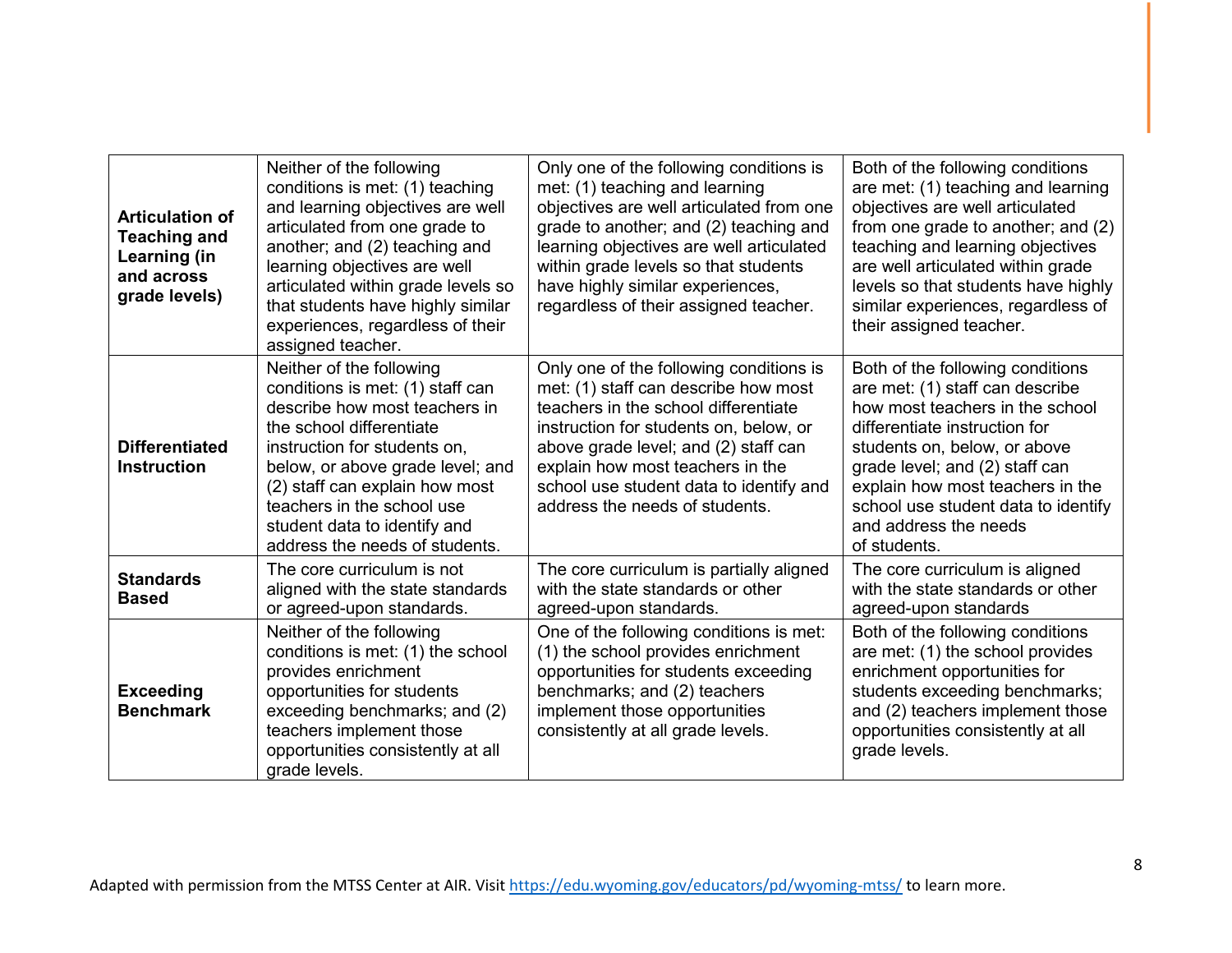| <b>Articulation of</b><br><b>Teaching and</b><br>Learning (in<br>and across<br>grade levels) | Neither of the following<br>conditions is met: (1) teaching<br>and learning objectives are well<br>articulated from one grade to<br>another; and (2) teaching and<br>learning objectives are well<br>articulated within grade levels so<br>that students have highly similar<br>experiences, regardless of their<br>assigned teacher. | Only one of the following conditions is<br>met: (1) teaching and learning<br>objectives are well articulated from one<br>grade to another; and (2) teaching and<br>learning objectives are well articulated<br>within grade levels so that students<br>have highly similar experiences,<br>regardless of their assigned teacher. | Both of the following conditions<br>are met: (1) teaching and learning<br>objectives are well articulated<br>from one grade to another; and (2)<br>teaching and learning objectives<br>are well articulated within grade<br>levels so that students have highly<br>similar experiences, regardless of<br>their assigned teacher. |
|----------------------------------------------------------------------------------------------|---------------------------------------------------------------------------------------------------------------------------------------------------------------------------------------------------------------------------------------------------------------------------------------------------------------------------------------|----------------------------------------------------------------------------------------------------------------------------------------------------------------------------------------------------------------------------------------------------------------------------------------------------------------------------------|----------------------------------------------------------------------------------------------------------------------------------------------------------------------------------------------------------------------------------------------------------------------------------------------------------------------------------|
| <b>Differentiated</b><br><b>Instruction</b>                                                  | Neither of the following<br>conditions is met: (1) staff can<br>describe how most teachers in<br>the school differentiate<br>instruction for students on,<br>below, or above grade level; and<br>(2) staff can explain how most<br>teachers in the school use<br>student data to identify and<br>address the needs of students.       | Only one of the following conditions is<br>met: (1) staff can describe how most<br>teachers in the school differentiate<br>instruction for students on, below, or<br>above grade level; and (2) staff can<br>explain how most teachers in the<br>school use student data to identify and<br>address the needs of students.       | Both of the following conditions<br>are met: (1) staff can describe<br>how most teachers in the school<br>differentiate instruction for<br>students on, below, or above<br>grade level; and (2) staff can<br>explain how most teachers in the<br>school use student data to identify<br>and address the needs<br>of students.    |
| <b>Standards</b><br><b>Based</b>                                                             | The core curriculum is not<br>aligned with the state standards<br>or agreed-upon standards.                                                                                                                                                                                                                                           | The core curriculum is partially aligned<br>with the state standards or other<br>agreed-upon standards.                                                                                                                                                                                                                          | The core curriculum is aligned<br>with the state standards or other<br>agreed-upon standards                                                                                                                                                                                                                                     |
| <b>Exceeding</b><br><b>Benchmark</b>                                                         | Neither of the following<br>conditions is met: (1) the school<br>provides enrichment<br>opportunities for students<br>exceeding benchmarks; and (2)<br>teachers implement those<br>opportunities consistently at all<br>grade levels.                                                                                                 | One of the following conditions is met:<br>(1) the school provides enrichment<br>opportunities for students exceeding<br>benchmarks; and (2) teachers<br>implement those opportunities<br>consistently at all grade levels.                                                                                                      | Both of the following conditions<br>are met: (1) the school provides<br>enrichment opportunities for<br>students exceeding benchmarks;<br>and (2) teachers implement those<br>opportunities consistently at all<br>grade levels.                                                                                                 |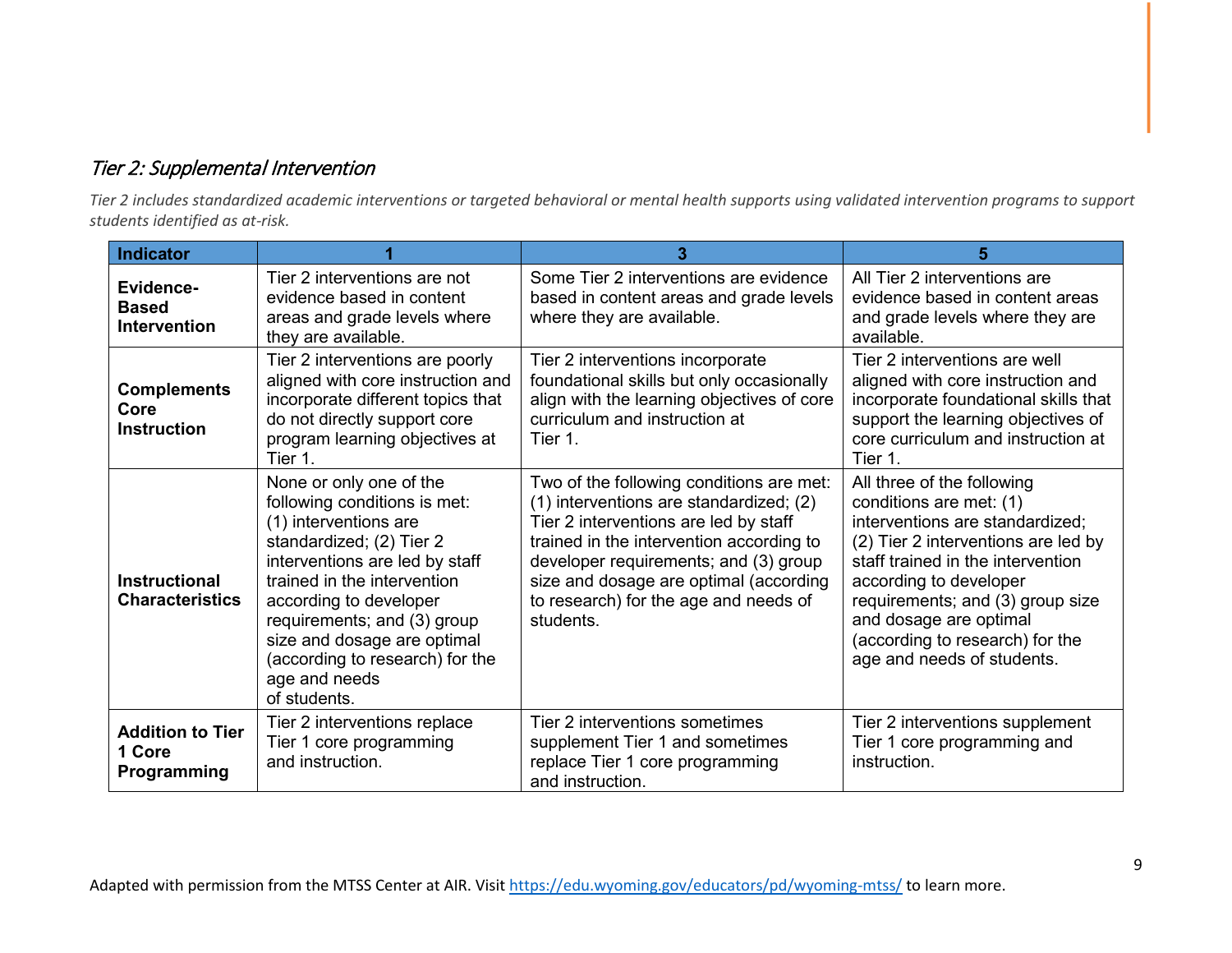#### Tier 2: Supplemental Intervention

*Tier 2 includes standardized academic interventions or targeted behavioral or mental health supports using validated intervention programs to support students identified as at-risk.*

| <b>Indicator</b>                                 |                                                                                                                                                                                                                                                                                                                                           | 3                                                                                                                                                                                                                                                                                                                 |                                                                                                                                                                                                                                                                                                                               |
|--------------------------------------------------|-------------------------------------------------------------------------------------------------------------------------------------------------------------------------------------------------------------------------------------------------------------------------------------------------------------------------------------------|-------------------------------------------------------------------------------------------------------------------------------------------------------------------------------------------------------------------------------------------------------------------------------------------------------------------|-------------------------------------------------------------------------------------------------------------------------------------------------------------------------------------------------------------------------------------------------------------------------------------------------------------------------------|
| Evidence-<br><b>Based</b><br><b>Intervention</b> | Tier 2 interventions are not<br>evidence based in content<br>areas and grade levels where<br>they are available.                                                                                                                                                                                                                          | Some Tier 2 interventions are evidence<br>based in content areas and grade levels<br>where they are available.                                                                                                                                                                                                    | All Tier 2 interventions are<br>evidence based in content areas<br>and grade levels where they are<br>available.                                                                                                                                                                                                              |
| <b>Complements</b><br>Core<br><b>Instruction</b> | Tier 2 interventions are poorly<br>aligned with core instruction and<br>incorporate different topics that<br>do not directly support core<br>program learning objectives at<br>Tier 1.                                                                                                                                                    | Tier 2 interventions incorporate<br>foundational skills but only occasionally<br>align with the learning objectives of core<br>curriculum and instruction at<br>Tier 1.                                                                                                                                           | Tier 2 interventions are well<br>aligned with core instruction and<br>incorporate foundational skills that<br>support the learning objectives of<br>core curriculum and instruction at<br>Tier 1.                                                                                                                             |
| <b>Instructional</b><br><b>Characteristics</b>   | None or only one of the<br>following conditions is met:<br>(1) interventions are<br>standardized; (2) Tier 2<br>interventions are led by staff<br>trained in the intervention<br>according to developer<br>requirements; and (3) group<br>size and dosage are optimal<br>(according to research) for the<br>age and needs<br>of students. | Two of the following conditions are met:<br>(1) interventions are standardized; (2)<br>Tier 2 interventions are led by staff<br>trained in the intervention according to<br>developer requirements; and (3) group<br>size and dosage are optimal (according<br>to research) for the age and needs of<br>students. | All three of the following<br>conditions are met: (1)<br>interventions are standardized;<br>(2) Tier 2 interventions are led by<br>staff trained in the intervention<br>according to developer<br>requirements; and (3) group size<br>and dosage are optimal<br>(according to research) for the<br>age and needs of students. |
| <b>Addition to Tier</b><br>1 Core<br>Programming | Tier 2 interventions replace<br>Tier 1 core programming<br>and instruction.                                                                                                                                                                                                                                                               | Tier 2 interventions sometimes<br>supplement Tier 1 and sometimes<br>replace Tier 1 core programming<br>and instruction.                                                                                                                                                                                          | Tier 2 interventions supplement<br>Tier 1 core programming and<br>instruction.                                                                                                                                                                                                                                                |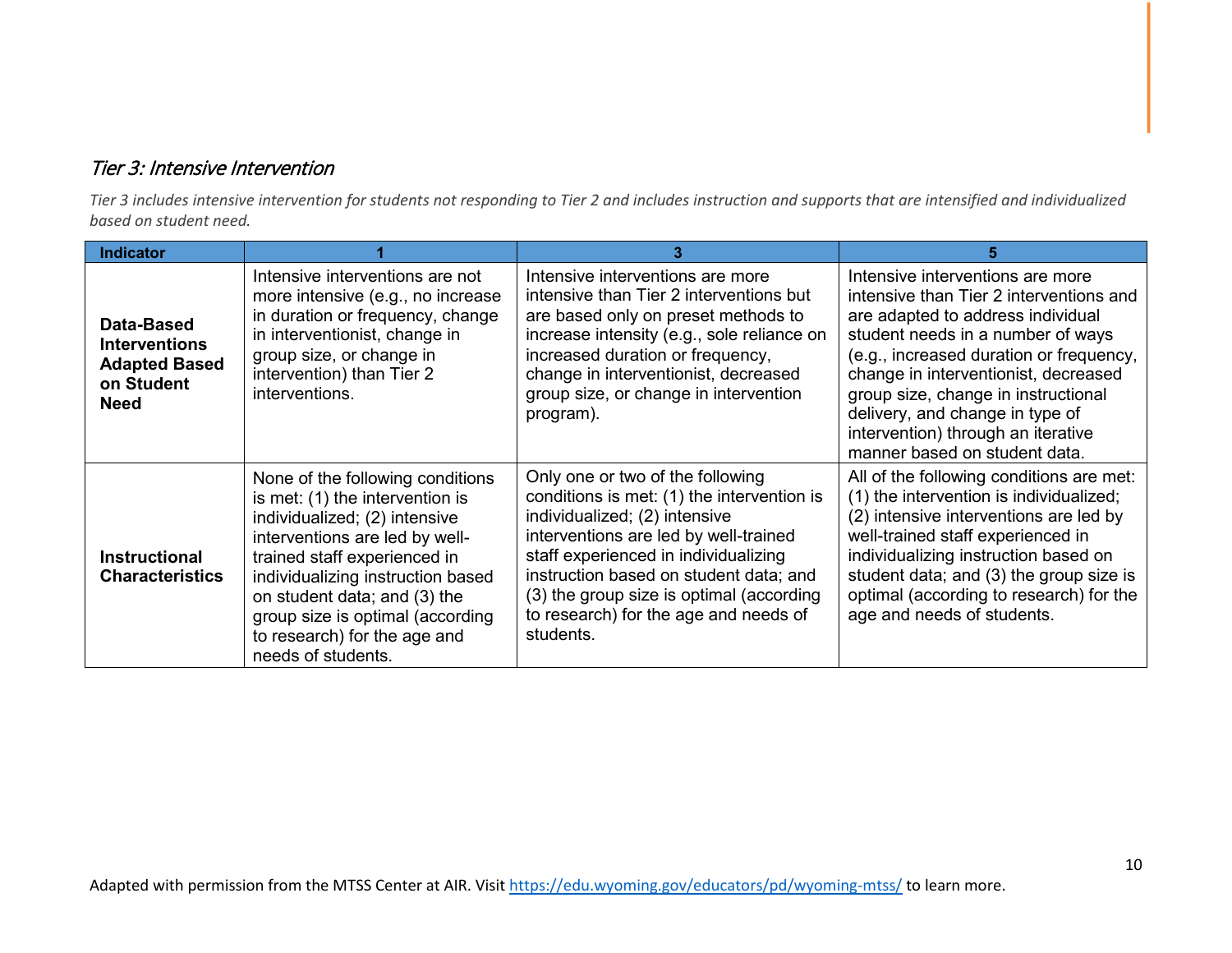#### Tier 3: Intensive Intervention

*Tier 3 includes intensive intervention for students not responding to Tier 2 and includes instruction and supports that are intensified and individualized based on student need.* 

| <b>Indicator</b>                                                                        |                                                                                                                                                                                                                                                                                                                                       |                                                                                                                                                                                                                                                                                                                                              |                                                                                                                                                                                                                                                                                                                                                                                           |
|-----------------------------------------------------------------------------------------|---------------------------------------------------------------------------------------------------------------------------------------------------------------------------------------------------------------------------------------------------------------------------------------------------------------------------------------|----------------------------------------------------------------------------------------------------------------------------------------------------------------------------------------------------------------------------------------------------------------------------------------------------------------------------------------------|-------------------------------------------------------------------------------------------------------------------------------------------------------------------------------------------------------------------------------------------------------------------------------------------------------------------------------------------------------------------------------------------|
| Data-Based<br><b>Interventions</b><br><b>Adapted Based</b><br>on Student<br><b>Need</b> | Intensive interventions are not<br>more intensive (e.g., no increase<br>in duration or frequency, change<br>in interventionist, change in<br>group size, or change in<br>intervention) than Tier 2<br>interventions.                                                                                                                  | Intensive interventions are more<br>intensive than Tier 2 interventions but<br>are based only on preset methods to<br>increase intensity (e.g., sole reliance on<br>increased duration or frequency,<br>change in interventionist, decreased<br>group size, or change in intervention<br>program).                                           | Intensive interventions are more<br>intensive than Tier 2 interventions and<br>are adapted to address individual<br>student needs in a number of ways<br>(e.g., increased duration or frequency,<br>change in interventionist, decreased<br>group size, change in instructional<br>delivery, and change in type of<br>intervention) through an iterative<br>manner based on student data. |
| <b>Instructional</b><br><b>Characteristics</b>                                          | None of the following conditions<br>is met: (1) the intervention is<br>individualized; (2) intensive<br>interventions are led by well-<br>trained staff experienced in<br>individualizing instruction based<br>on student data; and (3) the<br>group size is optimal (according<br>to research) for the age and<br>needs of students. | Only one or two of the following<br>conditions is met: (1) the intervention is<br>individualized; (2) intensive<br>interventions are led by well-trained<br>staff experienced in individualizing<br>instruction based on student data; and<br>(3) the group size is optimal (according<br>to research) for the age and needs of<br>students. | All of the following conditions are met:<br>(1) the intervention is individualized;<br>(2) intensive interventions are led by<br>well-trained staff experienced in<br>individualizing instruction based on<br>student data; and (3) the group size is<br>optimal (according to research) for the<br>age and needs of students.                                                            |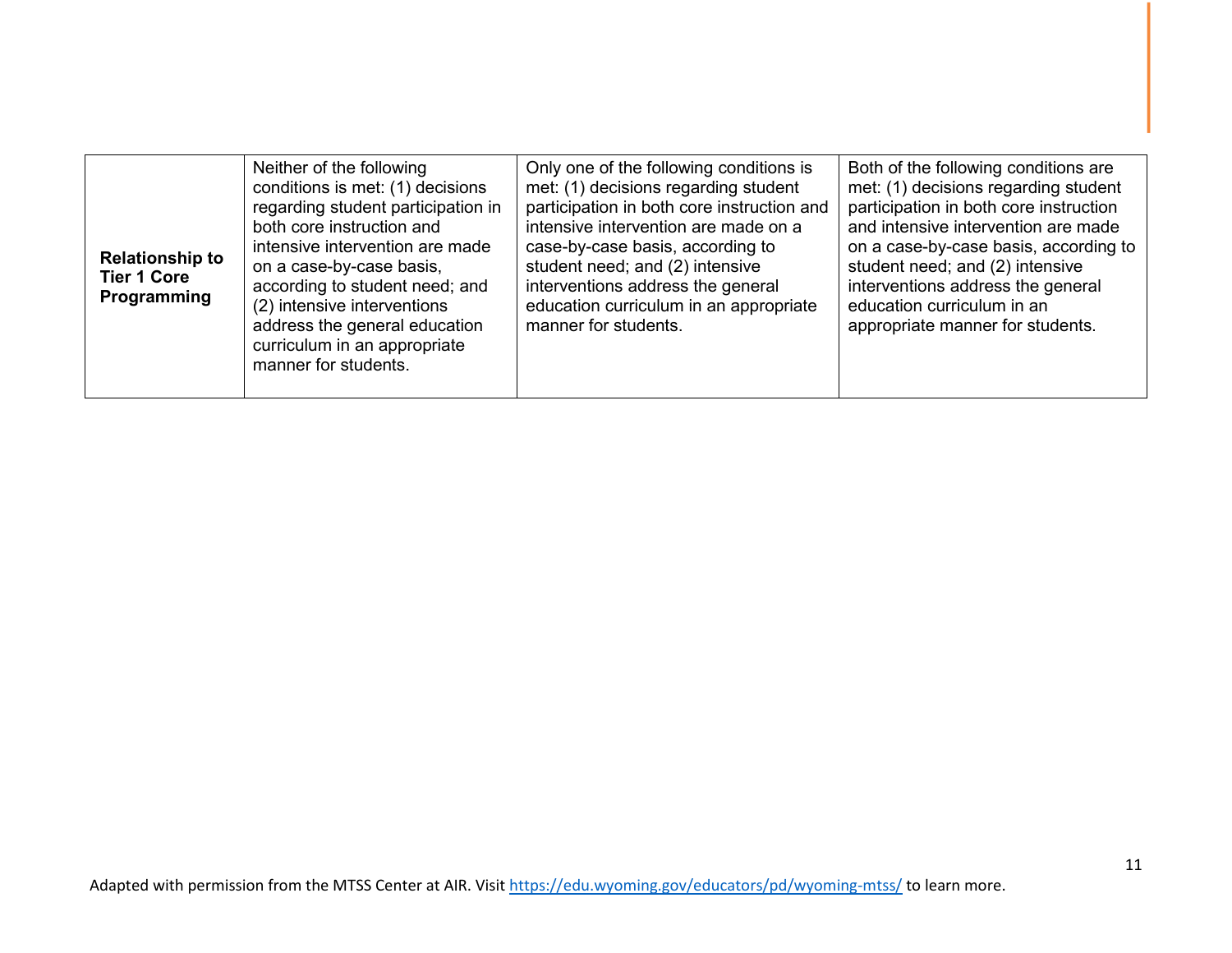| <b>Relationship to</b><br><b>Tier 1 Core</b><br>Programming | Neither of the following<br>conditions is met: (1) decisions<br>regarding student participation in<br>both core instruction and<br>intensive intervention are made<br>on a case-by-case basis,<br>according to student need; and<br>(2) intensive interventions<br>address the general education<br>curriculum in an appropriate<br>manner for students. | Only one of the following conditions is<br>met: (1) decisions regarding student<br>participation in both core instruction and<br>intensive intervention are made on a<br>case-by-case basis, according to<br>student need; and (2) intensive<br>interventions address the general<br>education curriculum in an appropriate<br>manner for students. | Both of the following conditions are<br>met: (1) decisions regarding student<br>participation in both core instruction<br>and intensive intervention are made<br>on a case-by-case basis, according to<br>student need; and (2) intensive<br>interventions address the general<br>education curriculum in an<br>appropriate manner for students. |
|-------------------------------------------------------------|----------------------------------------------------------------------------------------------------------------------------------------------------------------------------------------------------------------------------------------------------------------------------------------------------------------------------------------------------------|-----------------------------------------------------------------------------------------------------------------------------------------------------------------------------------------------------------------------------------------------------------------------------------------------------------------------------------------------------|--------------------------------------------------------------------------------------------------------------------------------------------------------------------------------------------------------------------------------------------------------------------------------------------------------------------------------------------------|
|-------------------------------------------------------------|----------------------------------------------------------------------------------------------------------------------------------------------------------------------------------------------------------------------------------------------------------------------------------------------------------------------------------------------------------|-----------------------------------------------------------------------------------------------------------------------------------------------------------------------------------------------------------------------------------------------------------------------------------------------------------------------------------------------------|--------------------------------------------------------------------------------------------------------------------------------------------------------------------------------------------------------------------------------------------------------------------------------------------------------------------------------------------------|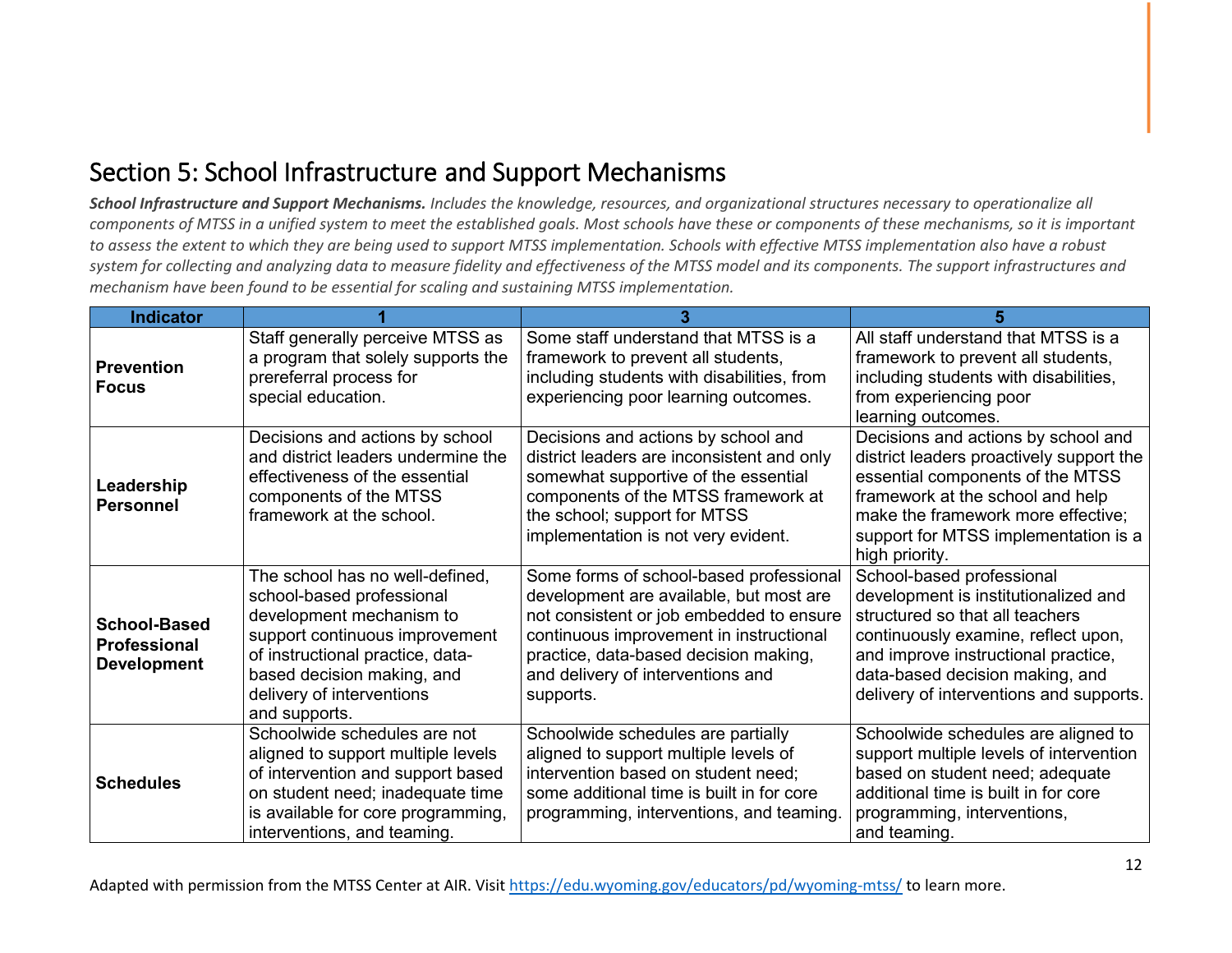### Section 5: School Infrastructure and Support Mechanisms

*School Infrastructure and Support Mechanisms. Includes the knowledge, resources, and organizational structures necessary to operationalize all components of MTSS in a unified system to meet the established goals. Most schools have these or components of these mechanisms, so it is important to assess the extent to which they are being used to support MTSS implementation. Schools with effective MTSS implementation also have a robust system for collecting and analyzing data to measure fidelity and effectiveness of the MTSS model and its components. The support infrastructures and mechanism have been found to be essential for scaling and sustaining MTSS implementation.* 

| <b>Indicator</b>                                                 |                                                                                                                                                                                                                                            |                                                                                                                                                                                                                                                                      | 5                                                                                                                                                                                                                                                                |
|------------------------------------------------------------------|--------------------------------------------------------------------------------------------------------------------------------------------------------------------------------------------------------------------------------------------|----------------------------------------------------------------------------------------------------------------------------------------------------------------------------------------------------------------------------------------------------------------------|------------------------------------------------------------------------------------------------------------------------------------------------------------------------------------------------------------------------------------------------------------------|
| <b>Prevention</b><br><b>Focus</b>                                | Staff generally perceive MTSS as<br>a program that solely supports the<br>prereferral process for<br>special education.                                                                                                                    | Some staff understand that MTSS is a<br>framework to prevent all students,<br>including students with disabilities, from<br>experiencing poor learning outcomes.                                                                                                     | All staff understand that MTSS is a<br>framework to prevent all students,<br>including students with disabilities,<br>from experiencing poor<br>learning outcomes.                                                                                               |
| Leadership<br><b>Personnel</b>                                   | Decisions and actions by school<br>and district leaders undermine the<br>effectiveness of the essential<br>components of the MTSS<br>framework at the school.                                                                              | Decisions and actions by school and<br>district leaders are inconsistent and only<br>somewhat supportive of the essential<br>components of the MTSS framework at<br>the school; support for MTSS<br>implementation is not very evident.                              | Decisions and actions by school and<br>district leaders proactively support the<br>essential components of the MTSS<br>framework at the school and help<br>make the framework more effective;<br>support for MTSS implementation is a<br>high priority.          |
| <b>School-Based</b><br><b>Professional</b><br><b>Development</b> | The school has no well-defined,<br>school-based professional<br>development mechanism to<br>support continuous improvement<br>of instructional practice, data-<br>based decision making, and<br>delivery of interventions<br>and supports. | Some forms of school-based professional<br>development are available, but most are<br>not consistent or job embedded to ensure<br>continuous improvement in instructional<br>practice, data-based decision making,<br>and delivery of interventions and<br>supports. | School-based professional<br>development is institutionalized and<br>structured so that all teachers<br>continuously examine, reflect upon,<br>and improve instructional practice,<br>data-based decision making, and<br>delivery of interventions and supports. |
| <b>Schedules</b>                                                 | Schoolwide schedules are not<br>aligned to support multiple levels<br>of intervention and support based<br>on student need; inadequate time<br>is available for core programming,<br>interventions, and teaming.                           | Schoolwide schedules are partially<br>aligned to support multiple levels of<br>intervention based on student need;<br>some additional time is built in for core<br>programming, interventions, and teaming.                                                          | Schoolwide schedules are aligned to<br>support multiple levels of intervention<br>based on student need; adequate<br>additional time is built in for core<br>programming, interventions,<br>and teaming.                                                         |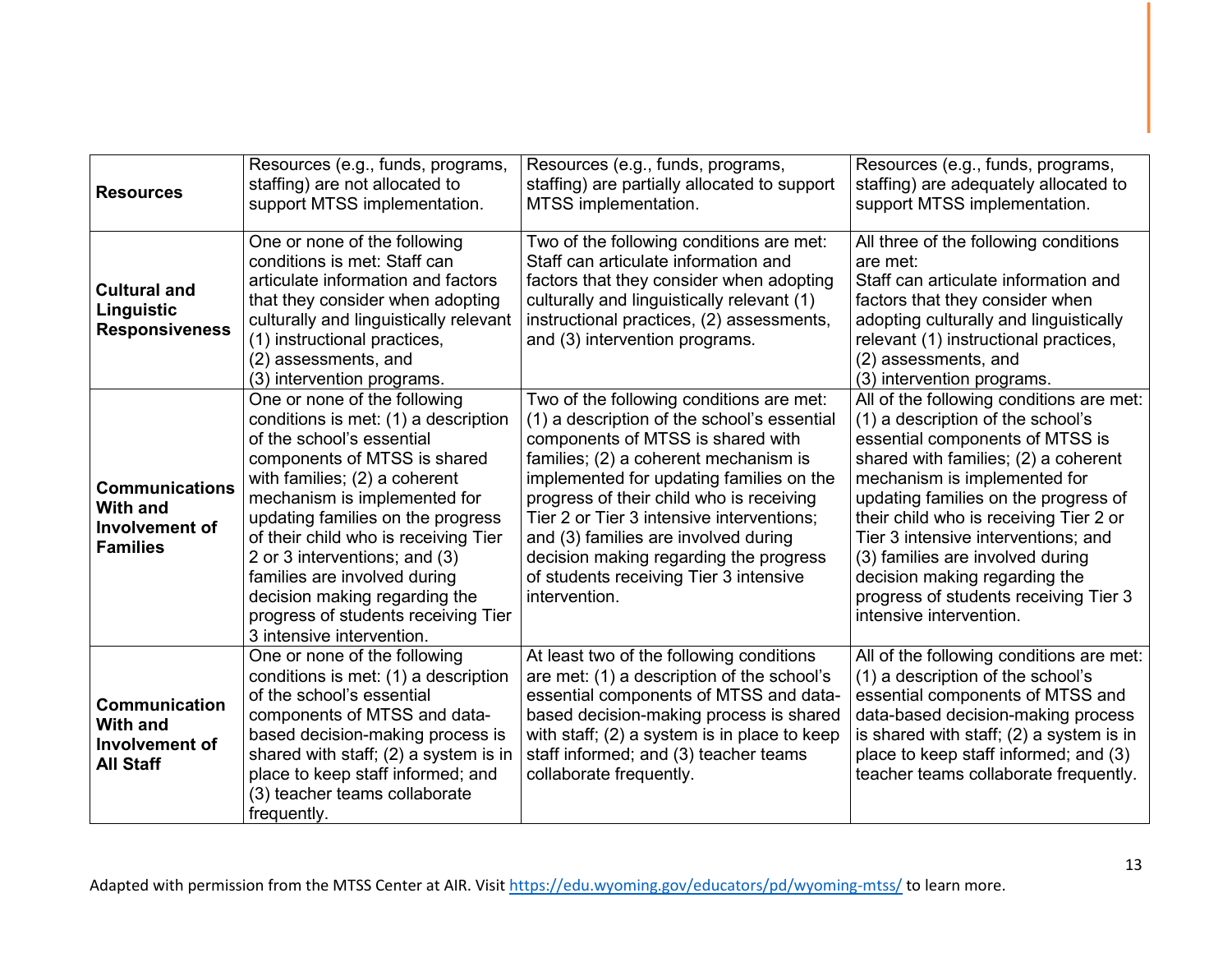| <b>Resources</b>                                                              | Resources (e.g., funds, programs,<br>staffing) are not allocated to<br>support MTSS implementation.                                                                                                                                                                                                                                                                                                                                                   | Resources (e.g., funds, programs,<br>staffing) are partially allocated to support<br>MTSS implementation.                                                                                                                                                                                                                                                                                                                                               | Resources (e.g., funds, programs,<br>staffing) are adequately allocated to<br>support MTSS implementation.                                                                                                                                                                                                                                                                                                                                                 |
|-------------------------------------------------------------------------------|-------------------------------------------------------------------------------------------------------------------------------------------------------------------------------------------------------------------------------------------------------------------------------------------------------------------------------------------------------------------------------------------------------------------------------------------------------|---------------------------------------------------------------------------------------------------------------------------------------------------------------------------------------------------------------------------------------------------------------------------------------------------------------------------------------------------------------------------------------------------------------------------------------------------------|------------------------------------------------------------------------------------------------------------------------------------------------------------------------------------------------------------------------------------------------------------------------------------------------------------------------------------------------------------------------------------------------------------------------------------------------------------|
| <b>Cultural and</b><br>Linguistic<br><b>Responsiveness</b>                    | One or none of the following<br>conditions is met: Staff can<br>articulate information and factors<br>that they consider when adopting<br>culturally and linguistically relevant<br>(1) instructional practices,<br>(2) assessments, and<br>(3) intervention programs.                                                                                                                                                                                | Two of the following conditions are met:<br>Staff can articulate information and<br>factors that they consider when adopting<br>culturally and linguistically relevant (1)<br>instructional practices, (2) assessments,<br>and (3) intervention programs.                                                                                                                                                                                               | All three of the following conditions<br>are met:<br>Staff can articulate information and<br>factors that they consider when<br>adopting culturally and linguistically<br>relevant (1) instructional practices,<br>(2) assessments, and<br>(3) intervention programs.                                                                                                                                                                                      |
| <b>Communications</b><br><b>With and</b><br>Involvement of<br><b>Families</b> | One or none of the following<br>conditions is met: (1) a description<br>of the school's essential<br>components of MTSS is shared<br>with families; (2) a coherent<br>mechanism is implemented for<br>updating families on the progress<br>of their child who is receiving Tier<br>2 or 3 interventions; and (3)<br>families are involved during<br>decision making regarding the<br>progress of students receiving Tier<br>3 intensive intervention. | Two of the following conditions are met:<br>(1) a description of the school's essential<br>components of MTSS is shared with<br>families; (2) a coherent mechanism is<br>implemented for updating families on the<br>progress of their child who is receiving<br>Tier 2 or Tier 3 intensive interventions;<br>and (3) families are involved during<br>decision making regarding the progress<br>of students receiving Tier 3 intensive<br>intervention. | All of the following conditions are met:<br>(1) a description of the school's<br>essential components of MTSS is<br>shared with families; (2) a coherent<br>mechanism is implemented for<br>updating families on the progress of<br>their child who is receiving Tier 2 or<br>Tier 3 intensive interventions; and<br>(3) families are involved during<br>decision making regarding the<br>progress of students receiving Tier 3<br>intensive intervention. |
| <b>Communication</b><br><b>With and</b><br>Involvement of<br><b>All Staff</b> | One or none of the following<br>conditions is met: (1) a description<br>of the school's essential<br>components of MTSS and data-<br>based decision-making process is<br>shared with staff; (2) a system is in<br>place to keep staff informed; and<br>(3) teacher teams collaborate<br>frequently.                                                                                                                                                   | At least two of the following conditions<br>are met: (1) a description of the school's<br>essential components of MTSS and data-<br>based decision-making process is shared<br>with staff; (2) a system is in place to keep<br>staff informed; and (3) teacher teams<br>collaborate frequently.                                                                                                                                                         | All of the following conditions are met:<br>(1) a description of the school's<br>essential components of MTSS and<br>data-based decision-making process<br>is shared with staff; (2) a system is in<br>place to keep staff informed; and (3)<br>teacher teams collaborate frequently.                                                                                                                                                                      |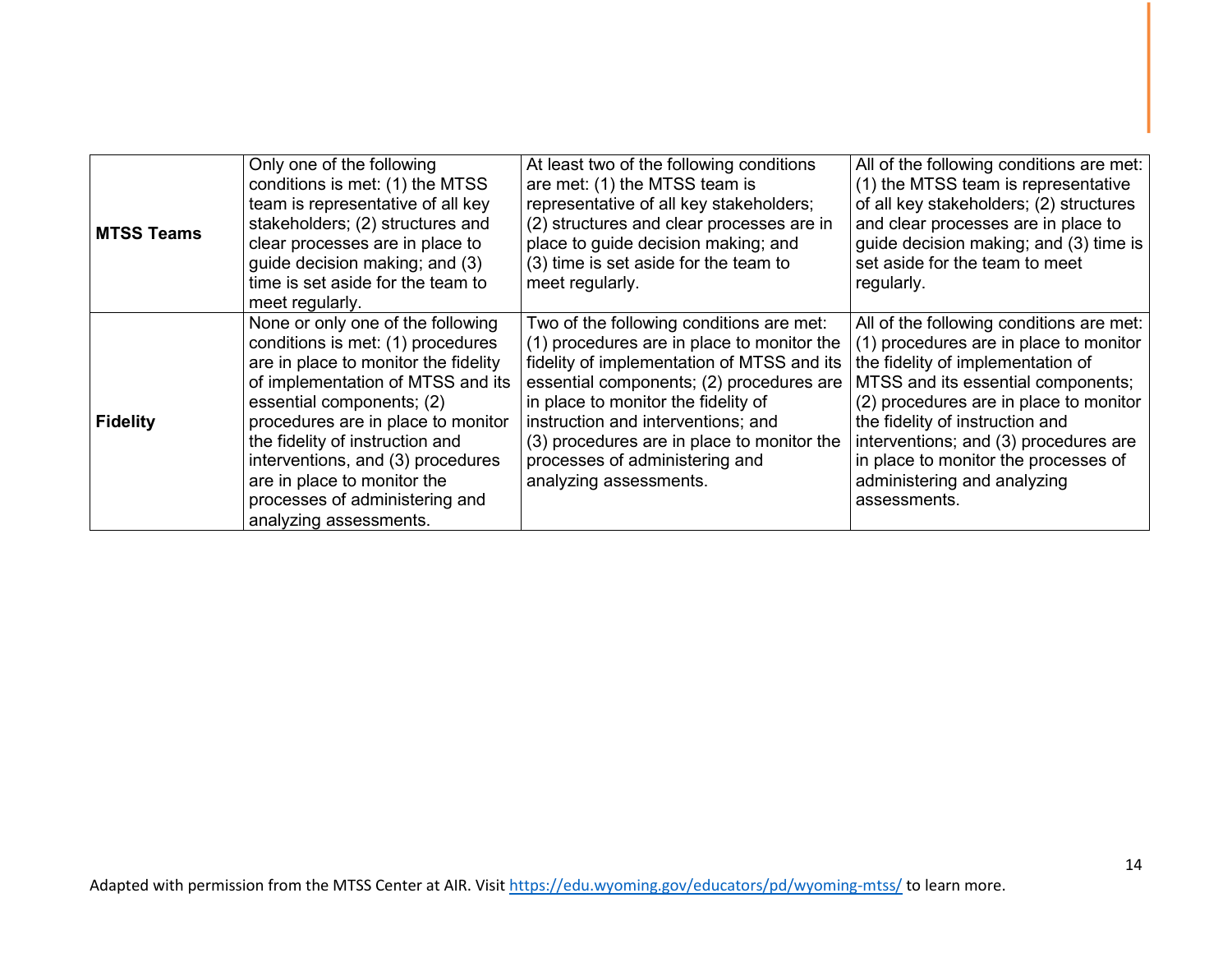| <b>MTSS Teams</b> | Only one of the following<br>conditions is met: (1) the MTSS<br>team is representative of all key<br>stakeholders; (2) structures and<br>clear processes are in place to<br>guide decision making; and (3)<br>time is set aside for the team to<br>meet regularly.                                                                                                                        | At least two of the following conditions<br>are met: (1) the MTSS team is<br>representative of all key stakeholders;<br>(2) structures and clear processes are in<br>place to guide decision making; and<br>(3) time is set aside for the team to<br>meet regularly.                                                                                                    | All of the following conditions are met:<br>(1) the MTSS team is representative<br>of all key stakeholders; (2) structures<br>and clear processes are in place to<br>guide decision making; and (3) time is<br>set aside for the team to meet<br>regularly.                                                                                                                |
|-------------------|-------------------------------------------------------------------------------------------------------------------------------------------------------------------------------------------------------------------------------------------------------------------------------------------------------------------------------------------------------------------------------------------|-------------------------------------------------------------------------------------------------------------------------------------------------------------------------------------------------------------------------------------------------------------------------------------------------------------------------------------------------------------------------|----------------------------------------------------------------------------------------------------------------------------------------------------------------------------------------------------------------------------------------------------------------------------------------------------------------------------------------------------------------------------|
| <b>Fidelity</b>   | None or only one of the following<br>conditions is met: (1) procedures<br>are in place to monitor the fidelity<br>of implementation of MTSS and its<br>essential components; (2)<br>procedures are in place to monitor<br>the fidelity of instruction and<br>interventions, and (3) procedures<br>are in place to monitor the<br>processes of administering and<br>analyzing assessments. | Two of the following conditions are met:<br>(1) procedures are in place to monitor the<br>fidelity of implementation of MTSS and its<br>essential components; (2) procedures are<br>in place to monitor the fidelity of<br>instruction and interventions; and<br>(3) procedures are in place to monitor the<br>processes of administering and<br>analyzing assessments. | All of the following conditions are met:<br>(1) procedures are in place to monitor<br>the fidelity of implementation of<br>MTSS and its essential components;<br>(2) procedures are in place to monitor<br>the fidelity of instruction and<br>interventions; and (3) procedures are<br>in place to monitor the processes of<br>administering and analyzing<br>assessments. |